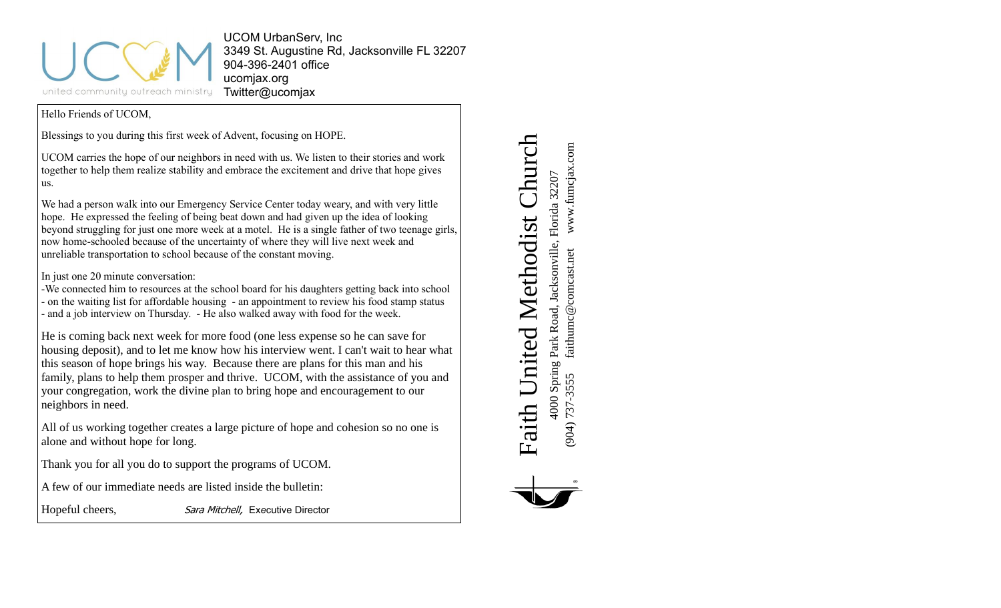

UCOM UrbanServ, Inc 3349 St. Augustine Rd, Jacksonville FL 32207 904-396-2401 office ucomjax.org Twitter@ucomjax

Hello Friends of UCOM,

Blessings to you during this first week of Advent, focusing on HOPE.

UCOM carries the hope of our neighbors in need with us. We listen to their stories and work together to help them realize stability and embrace the excitement and drive that hope gives us.

We had a person walk into our Emergency Service Center today weary, and with very little hope. He expressed the feeling of being beat down and had given up the idea of looking beyond struggling for just one more week at a motel. He is a single father of two teenage girls, now home-schooled because of the uncertainty of where they will live next week and unreliable transportation to school because of the constant moving.

In just one 20 minute conversation:

-We connected him to resources at the school board for his daughters getting back into school - on the waiting list for affordable housing - an appointment to review his food stamp status - and a job interview on Thursday. - He also walked away with food for the week.

He is coming back next week for more food (one less expense so he can save for housing deposit), and to let me know how his interview went. I can't wait to hear what this season of hope brings his way. Because there are plans for this man and his family, plans to help them prosper and thrive. UCOM, with the assistance of you and your congregation, work the divine plan to bring hope and encouragement to our neighbors in need.

All of us working together creates a large picture of hope and cohesion so no one is alone and without hope for long.

Thank you for all you do to support the programs of UCOM.

A few of our immediate needs are listed inside the bulletin:

Hopeful cheers, Sara Mitchell, Ex*e*cutive Director

Faith United Methodist Church Faith United Methodist Church 4000 Spring Park Road, Jacksonville, Florida 32207 4000 Spring Park Road, Jacksonville, Florida 32207

(904) 737-3555 faithumc@comcast.net www.fumcjax.com

faithumc@comcast.net

 $(904)$  737-3555

www.fumcjax.com